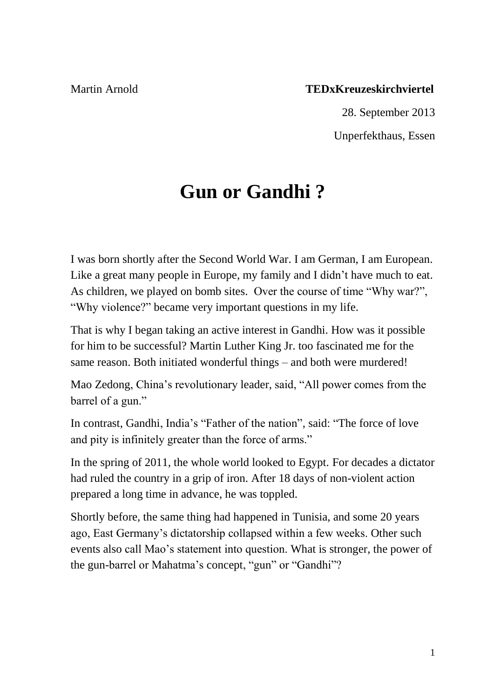## Martin Arnold **TEDxKreuzeskirchviertel**

28. September 2013

Unperfekthaus, Essen

# **Gun or Gandhi ?**

I was born shortly after the Second World War. I am German, I am European. Like a great many people in Europe, my family and I didn't have much to eat. As children, we played on bomb sites. Over the course of time "Why war?", "Why violence?" became very important questions in my life.

That is why I began taking an active interest in Gandhi. How was it possible for him to be successful? Martin Luther King Jr. too fascinated me for the same reason. Both initiated wonderful things – and both were murdered!

Mao Zedong, China's revolutionary leader, said, "All power comes from the barrel of a gun."

In contrast, Gandhi, India's "Father of the nation", said: "The force of love and pity is infinitely greater than the force of arms."

In the spring of 2011, the whole world looked to Egypt. For decades a dictator had ruled the country in a grip of iron. After 18 days of non-violent action prepared a long time in advance, he was toppled.

Shortly before, the same thing had happened in Tunisia, and some 20 years ago, East Germany's dictatorship collapsed within a few weeks. Other such events also call Mao's statement into question. What is stronger, the power of the gun-barrel or Mahatma's concept, "gun" or "Gandhi"?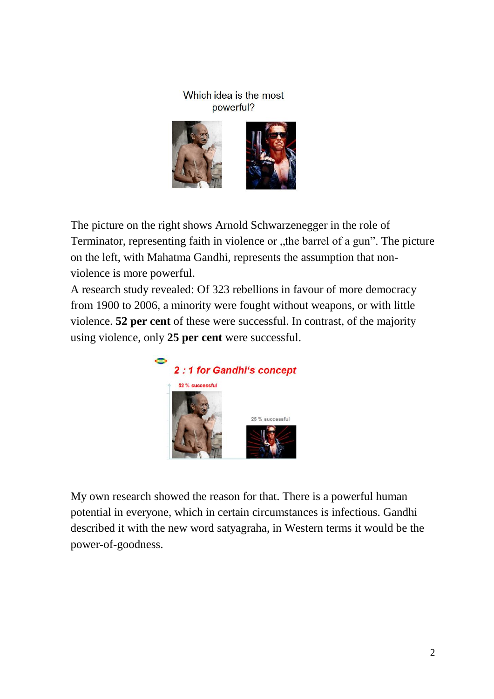#### Which idea is the most powerful?



The picture on the right shows Arnold Schwarzenegger in the role of Terminator, representing faith in violence or "the barrel of a gun". The picture on the left, with Mahatma Gandhi, represents the assumption that nonviolence is more powerful.

A research study revealed: Of 323 rebellions in favour of more democracy from 1900 to 2006, a minority were fought without weapons, or with little violence. **52 per cent** of these were successful. In contrast, of the majority using violence, only **25 per cent** were successful.



My own research showed the reason for that. There is a powerful human potential in everyone, which in certain circumstances is infectious. Gandhi described it with the new word satyagraha, in Western terms it would be the power-of-goodness.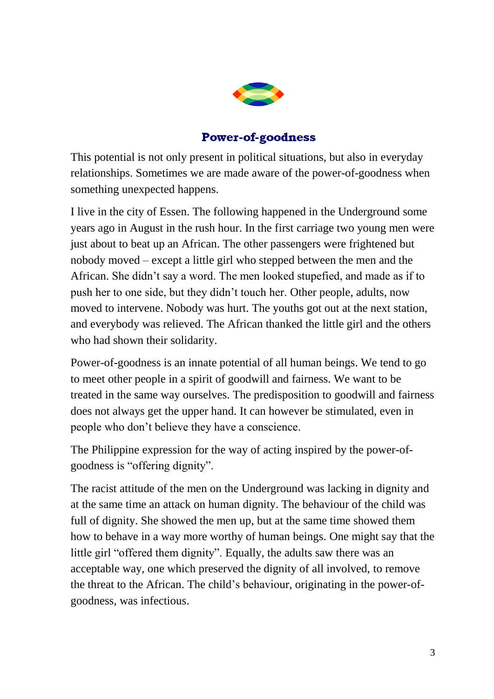

## **Power-of-goodness**

This potential is not only present in political situations, but also in everyday relationships. Sometimes we are made aware of the power-of-goodness when something unexpected happens.

I live in the city of Essen. The following happened in the Underground some years ago in August in the rush hour. In the first carriage two young men were just about to beat up an African. The other passengers were frightened but nobody moved – except a little girl who stepped between the men and the African. She didn't say a word. The men looked stupefied, and made as if to push her to one side, but they didn't touch her. Other people, adults, now moved to intervene. Nobody was hurt. The youths got out at the next station, and everybody was relieved. The African thanked the little girl and the others who had shown their solidarity.

Power-of-goodness is an innate potential of all human beings. We tend to go to meet other people in a spirit of goodwill and fairness. We want to be treated in the same way ourselves. The predisposition to goodwill and fairness does not always get the upper hand. It can however be stimulated, even in people who don't believe they have a conscience.

The Philippine expression for the way of acting inspired by the power-ofgoodness is "offering dignity".

The racist attitude of the men on the Underground was lacking in dignity and at the same time an attack on human dignity. The behaviour of the child was full of dignity. She showed the men up, but at the same time showed them how to behave in a way more worthy of human beings. One might say that the little girl "offered them dignity". Equally, the adults saw there was an acceptable way, one which preserved the dignity of all involved, to remove the threat to the African. The child's behaviour, originating in the power-ofgoodness, was infectious.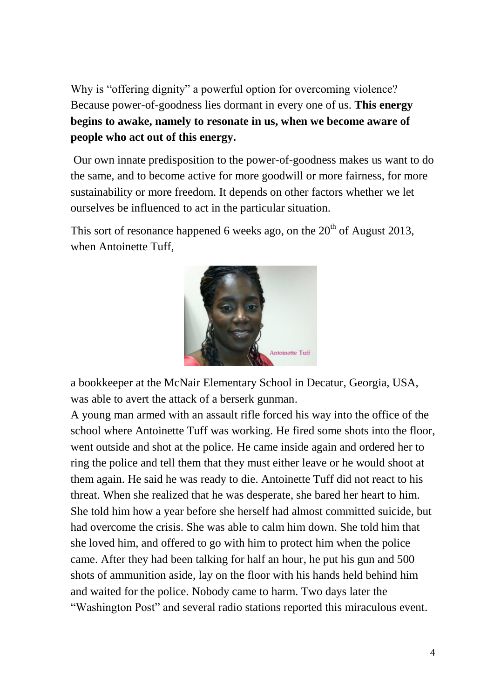Why is "offering dignity" a powerful option for overcoming violence? Because power-of-goodness lies dormant in every one of us. **This energy begins to awake, namely to resonate in us, when we become aware of people who act out of this energy.**

Our own innate predisposition to the power-of-goodness makes us want to do the same, and to become active for more goodwill or more fairness, for more sustainability or more freedom. It depends on other factors whether we let ourselves be influenced to act in the particular situation.

This sort of resonance happened 6 weeks ago, on the  $20<sup>th</sup>$  of August 2013, when Antoinette Tuff.



a bookkeeper at the McNair Elementary School in Decatur, Georgia, USA, was able to avert the attack of a berserk gunman.

A young man armed with an assault rifle forced his way into the office of the school where Antoinette Tuff was working. He fired some shots into the floor, went outside and shot at the police. He came inside again and ordered her to ring the police and tell them that they must either leave or he would shoot at them again. He said he was ready to die. Antoinette Tuff did not react to his threat. When she realized that he was desperate, she bared her heart to him. She told him how a year before she herself had almost committed suicide, but had overcome the crisis. She was able to calm him down. She told him that she loved him, and offered to go with him to protect him when the police came. After they had been talking for half an hour, he put his gun and 500 shots of ammunition aside, lay on the floor with his hands held behind him and waited for the police. Nobody came to harm. Two days later the "Washington Post" and several radio stations reported this miraculous event.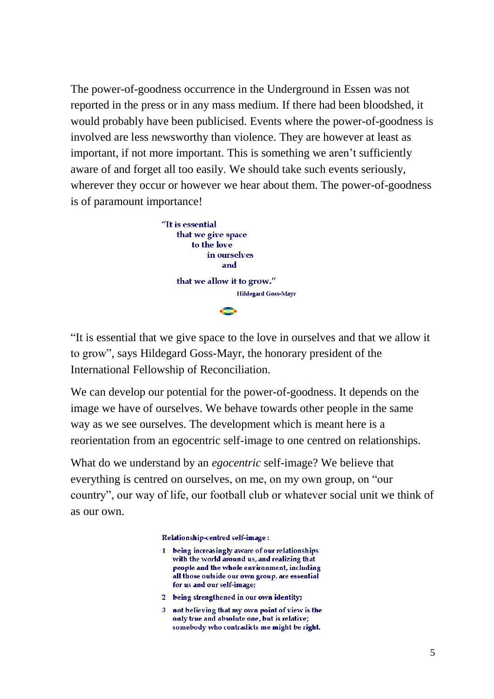The power-of-goodness occurrence in the Underground in Essen was not reported in the press or in any mass medium. If there had been bloodshed, it would probably have been publicised. Events where the power-of-goodness is involved are less newsworthy than violence. They are however at least as important, if not more important. This is something we aren't sufficiently aware of and forget all too easily. We should take such events seriously, wherever they occur or however we hear about them. The power-of-goodness is of paramount importance!



"It is essential that we give space to the love in ourselves and that we allow it to grow", says Hildegard Goss-Mayr, the honorary president of the International Fellowship of Reconciliation.

We can develop our potential for the power-of-goodness. It depends on the image we have of ourselves. We behave towards other people in the same way as we see ourselves. The development which is meant here is a reorientation from an egocentric self-image to one centred on relationships.

What do we understand by an *egocentric* self-image? We believe that everything is centred on ourselves, on me, on my own group, on "our country", our way of life, our football club or whatever social unit we think of as our own.

Relationship-centred self-image:

- 1 being increasingly aware of our relationships with the world around us, and realizing that people and the whole environment, including all those outside our own group, are essential for us and our self-image;
- 2 being strengthened in our own identity;
- 3 not believing that my own point of view is the only true and absolute one, but is relative; somebody who contradicts me might be right.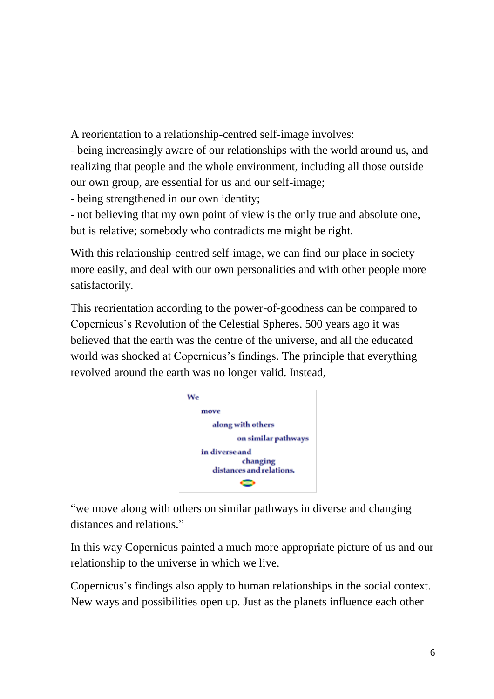A reorientation to a relationship-centred self-image involves:

- being increasingly aware of our relationships with the world around us, and realizing that people and the whole environment, including all those outside our own group, are essential for us and our self-image;

- being strengthened in our own identity;

- not believing that my own point of view is the only true and absolute one, but is relative; somebody who contradicts me might be right.

With this relationship-centred self-image, we can find our place in society more easily, and deal with our own personalities and with other people more satisfactorily.

This reorientation according to the power-of-goodness can be compared to Copernicus's Revolution of the Celestial Spheres. 500 years ago it was believed that the earth was the centre of the universe, and all the educated world was shocked at Copernicus's findings. The principle that everything revolved around the earth was no longer valid. Instead,



"we move along with others on similar pathways in diverse and changing distances and relations."

In this way Copernicus painted a much more appropriate picture of us and our relationship to the universe in which we live.

Copernicus's findings also apply to human relationships in the social context. New ways and possibilities open up. Just as the planets influence each other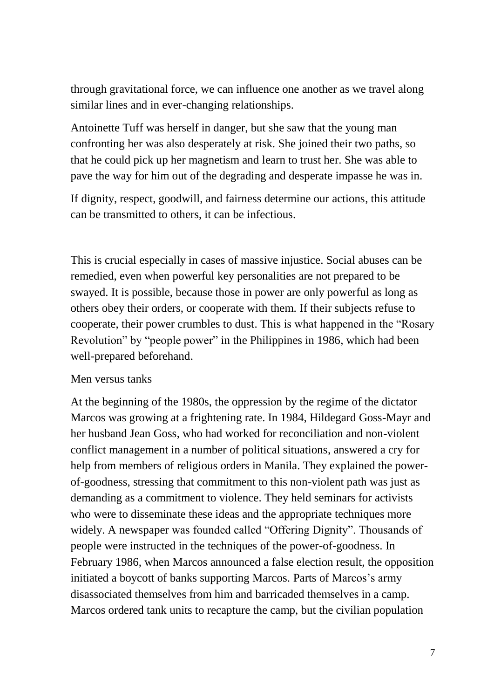through gravitational force, we can influence one another as we travel along similar lines and in ever-changing relationships.

Antoinette Tuff was herself in danger, but she saw that the young man confronting her was also desperately at risk. She joined their two paths, so that he could pick up her magnetism and learn to trust her. She was able to pave the way for him out of the degrading and desperate impasse he was in.

If dignity, respect, goodwill, and fairness determine our actions, this attitude can be transmitted to others, it can be infectious.

This is crucial especially in cases of massive injustice. Social abuses can be remedied, even when powerful key personalities are not prepared to be swayed. It is possible, because those in power are only powerful as long as others obey their orders, or cooperate with them. If their subjects refuse to cooperate, their power crumbles to dust. This is what happened in the "Rosary Revolution" by "people power" in the Philippines in 1986, which had been well-prepared beforehand.

### Men versus tanks

At the beginning of the 1980s, the oppression by the regime of the dictator Marcos was growing at a frightening rate. In 1984, Hildegard Goss-Mayr and her husband Jean Goss, who had worked for reconciliation and non-violent conflict management in a number of political situations, answered a cry for help from members of religious orders in Manila. They explained the powerof-goodness, stressing that commitment to this non-violent path was just as demanding as a commitment to violence. They held seminars for activists who were to disseminate these ideas and the appropriate techniques more widely. A newspaper was founded called "Offering Dignity". Thousands of people were instructed in the techniques of the power-of-goodness. In February 1986, when Marcos announced a false election result, the opposition initiated a boycott of banks supporting Marcos. Parts of Marcos's army disassociated themselves from him and barricaded themselves in a camp. Marcos ordered tank units to recapture the camp, but the civilian population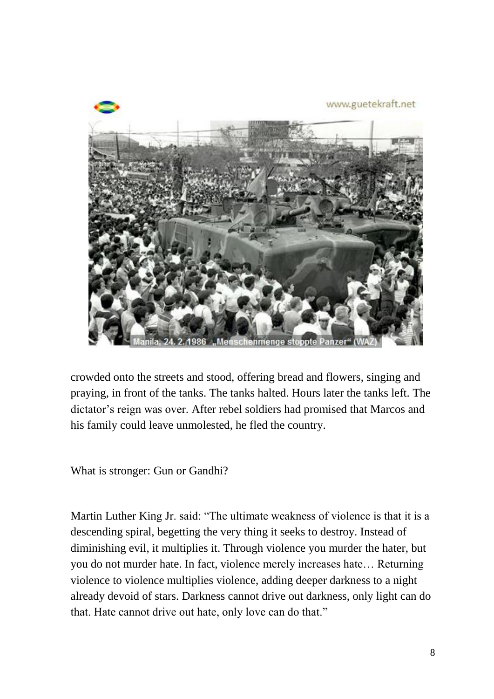

crowded onto the streets and stood, offering bread and flowers, singing and praying, in front of the tanks. The tanks halted. Hours later the tanks left. The dictator's reign was over. After rebel soldiers had promised that Marcos and his family could leave unmolested, he fled the country.

What is stronger: Gun or Gandhi?

Martin Luther King Jr. said: "The ultimate weakness of violence is that it is a descending spiral, begetting the very thing it seeks to destroy. Instead of diminishing evil, it multiplies it. Through violence you murder the hater, but you do not murder hate. In fact, violence merely increases hate… Returning violence to violence multiplies violence, adding deeper darkness to a night already devoid of stars. Darkness cannot drive out darkness, only light can do that. Hate cannot drive out hate, only love can do that."